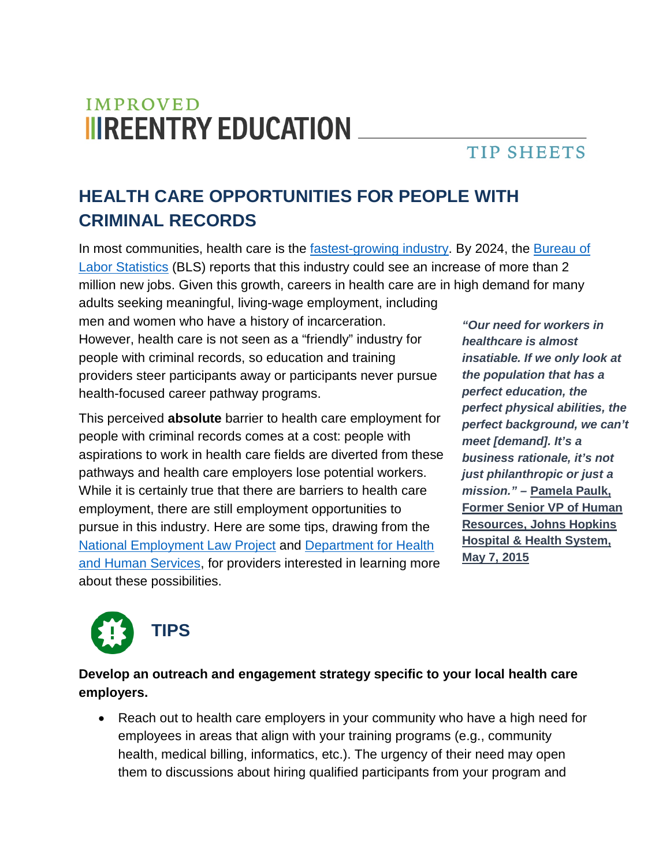# **IMPROVED IIIREENTRY EDUCATION**

### **TIP SHEETS**

## **HEALTH CARE OPPORTUNITIES FOR PEOPLE WITH CRIMINAL RECORDS**

In most communities, health care is the [fastest-growing industry.](https://www.healthcare-informatics.com/news-item/brookings-healthcare-fastest-growing-industry-us) By 2024, the [Bureau of](https://www.bls.gov/news.release/ecopro.nr0.htm)  [Labor Statistics](https://www.bls.gov/news.release/ecopro.nr0.htm) (BLS) reports that this industry could see an increase of more than 2 million new jobs. Given this growth, careers in health care are in high demand for many adults seeking meaningful, living-wage employment, including

men and women who have a history of incarceration. However, health care is not seen as a "friendly" industry for people with criminal records, so education and training providers steer participants away or participants never pursue health-focused career pathway programs.

This perceived **absolute** barrier to health care employment for people with criminal records comes at a cost: people with aspirations to work in health care fields are diverted from these pathways and health care employers lose potential workers. While it is certainly true that there are barriers to health care employment, there are still employment opportunities to pursue in this industry. Here are some tips, drawing from the [National Employment Law Project](http://www.nelp.org/) and [Department for Health](https://www.hhs.gov/)  [and Human Services,](https://www.hhs.gov/) for providers interested in learning more about these possibilities.

*"Our need for workers in healthcare is almost insatiable. If we only look at the population that has a perfect education, the perfect physical abilities, the perfect background, we can't meet [demand]. It's a business rationale, it's not just philanthropic or just a mission." –* **[Pamela Paulk,](http://www.nelp.org/content/uploads/NELP-Safer-Toolkit-Healthcare-Employer-Guide-Hiring-People-with-Arrest-Conviction-Records.pdf)  [Former Senior VP of Human](http://www.nelp.org/content/uploads/NELP-Safer-Toolkit-Healthcare-Employer-Guide-Hiring-People-with-Arrest-Conviction-Records.pdf)  [Resources, Johns Hopkins](http://www.nelp.org/content/uploads/NELP-Safer-Toolkit-Healthcare-Employer-Guide-Hiring-People-with-Arrest-Conviction-Records.pdf)  [Hospital & Health System,](http://www.nelp.org/content/uploads/NELP-Safer-Toolkit-Healthcare-Employer-Guide-Hiring-People-with-Arrest-Conviction-Records.pdf)  [May 7, 2015](http://www.nelp.org/content/uploads/NELP-Safer-Toolkit-Healthcare-Employer-Guide-Hiring-People-with-Arrest-Conviction-Records.pdf)**



**Develop an outreach and engagement strategy specific to your local health care employers.** 

• Reach out to health care employers in your community who have a high need for employees in areas that align with your training programs (e.g., community health, medical billing, informatics, etc.). The urgency of their need may open them to discussions about hiring qualified participants from your program and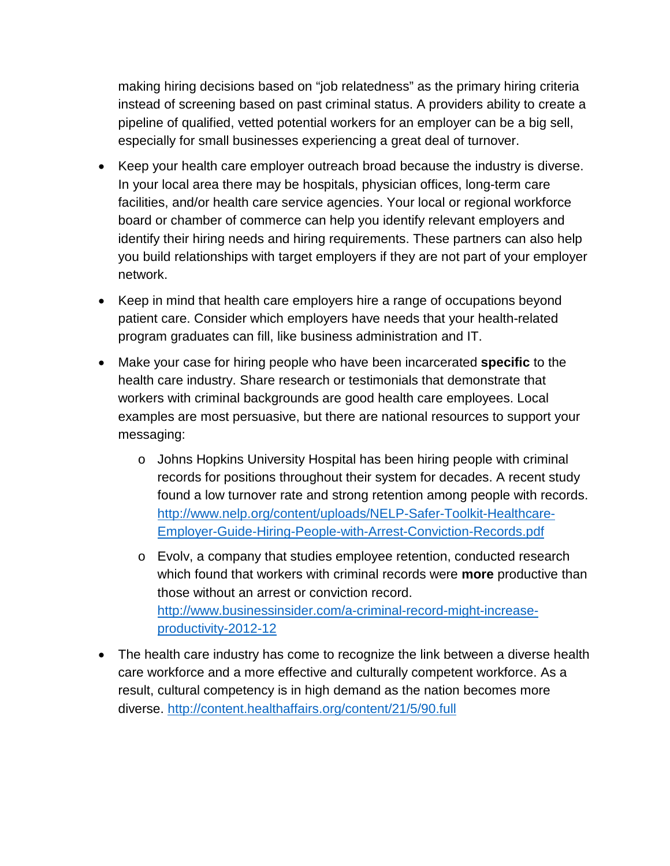making hiring decisions based on "job relatedness" as the primary hiring criteria instead of screening based on past criminal status. A providers ability to create a pipeline of qualified, vetted potential workers for an employer can be a big sell, especially for small businesses experiencing a great deal of turnover.

- Keep your health care employer outreach broad because the industry is diverse. In your local area there may be hospitals, physician offices, long-term care facilities, and/or health care service agencies. Your local or regional workforce board or chamber of commerce can help you identify relevant employers and identify their hiring needs and hiring requirements. These partners can also help you build relationships with target employers if they are not part of your employer network.
- Keep in mind that health care employers hire a range of occupations beyond patient care. Consider which employers have needs that your health-related program graduates can fill, like business administration and IT.
- Make your case for hiring people who have been incarcerated **specific** to the health care industry. Share research or testimonials that demonstrate that workers with criminal backgrounds are good health care employees. Local examples are most persuasive, but there are national resources to support your messaging:
	- o Johns Hopkins University Hospital has been hiring people with criminal records for positions throughout their system for decades. A recent study found a low turnover rate and strong retention among people with records. [http://www.nelp.org/content/uploads/NELP-Safer-Toolkit-Healthcare-](http://www.nelp.org/content/uploads/NELP-Safer-Toolkit-Healthcare-Employer-Guide-Hiring-People-with-Arrest-Conviction-Records.pdf)[Employer-Guide-Hiring-People-with-Arrest-Conviction-Records.pdf](http://www.nelp.org/content/uploads/NELP-Safer-Toolkit-Healthcare-Employer-Guide-Hiring-People-with-Arrest-Conviction-Records.pdf)
	- o Evolv, a company that studies employee retention, conducted research which found that workers with criminal records were **more** productive than those without an arrest or conviction record. [http://www.businessinsider.com/a-criminal-record-might-increase](http://www.businessinsider.com/a-criminal-record-might-increase-productivity-2012-12)[productivity-2012-12](http://www.businessinsider.com/a-criminal-record-might-increase-productivity-2012-12)
- The health care industry has come to recognize the link between a diverse health care workforce and a more effective and culturally competent workforce. As a result, cultural competency is in high demand as the nation becomes more diverse.<http://content.healthaffairs.org/content/21/5/90.full>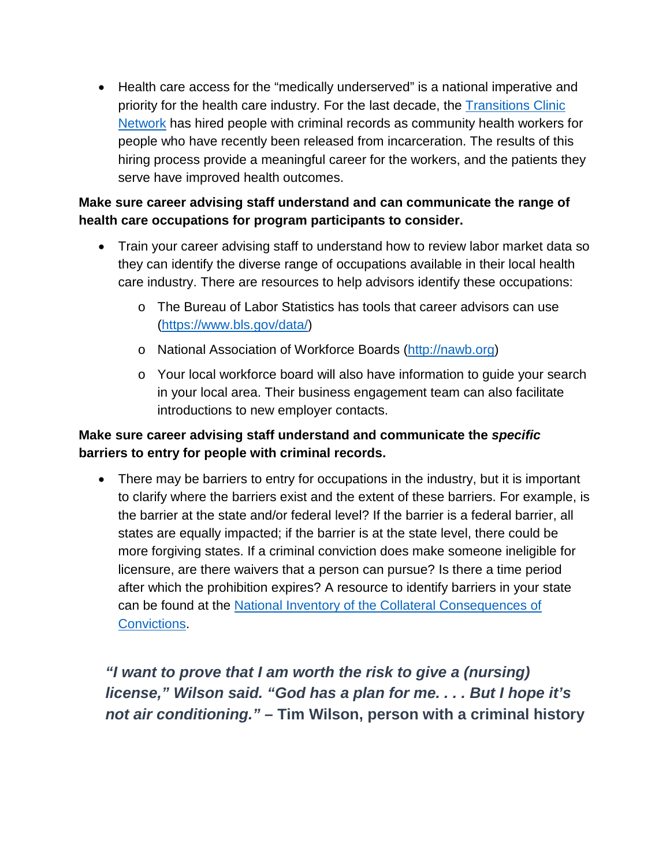• Health care access for the "medically underserved" is a national imperative and priority for the health care industry. For the last decade, the [Transitions Clinic](http://transitionsclinic.org/)  [Network](http://transitionsclinic.org/) has hired people with criminal records as community health workers for people who have recently been released from incarceration. The results of this hiring process provide a meaningful career for the workers, and the patients they serve have improved health outcomes.

#### **Make sure career advising staff understand and can communicate the range of health care occupations for program participants to consider.**

- Train your career advising staff to understand how to review labor market data so they can identify the diverse range of occupations available in their local health care industry. There are resources to help advisors identify these occupations:
	- o The Bureau of Labor Statistics has tools that career advisors can use [\(https://www.bls.gov/data/\)](https://www.bls.gov/data/)
	- o National Association of Workforce Boards [\(http://nawb.org\)](http://nawb.org/)
	- o Your local workforce board will also have information to guide your search in your local area. Their business engagement team can also facilitate introductions to new employer contacts.

#### **Make sure career advising staff understand and communicate the** *specific* **barriers to entry for people with criminal records.**

• There may be barriers to entry for occupations in the industry, but it is important to clarify where the barriers exist and the extent of these barriers. For example, is the barrier at the state and/or federal level? If the barrier is a federal barrier, all states are equally impacted; if the barrier is at the state level, there could be more forgiving states. If a criminal conviction does make someone ineligible for licensure, are there waivers that a person can pursue? Is there a time period after which the prohibition expires? A resource to identify barriers in your state can be found at the [National Inventory of the Collateral Consequences of](https://niccc.csgjusticecenter.org/)  [Convictions.](https://niccc.csgjusticecenter.org/)

*"I want to prove that I am worth the risk to give a (nursing) license," Wilson said. "God has a plan for me. . . . But I hope it's not air conditioning." –* **[Tim Wilson, person with a criminal history](http://www.vcstar.com/story/news/crime_courts/2016/12/14/prop-47-former-felons-new-jobs/94636088/)**